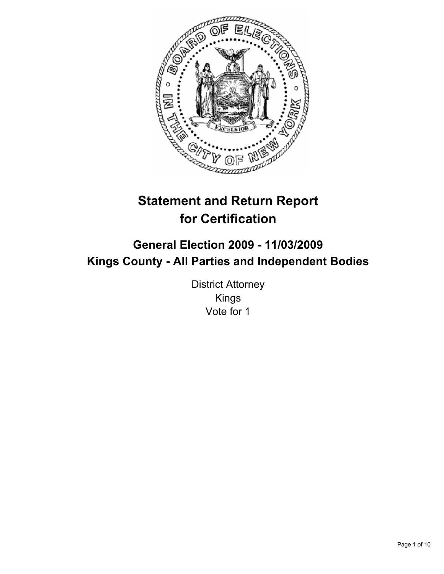

# **Statement and Return Report for Certification**

## **General Election 2009 - 11/03/2009 Kings County - All Parties and Independent Bodies**

District Attorney Kings Vote for 1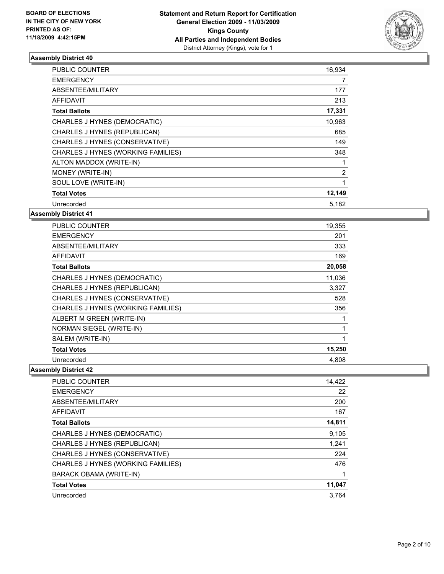

| <b>PUBLIC COUNTER</b>              | 16,934         |
|------------------------------------|----------------|
| <b>EMERGENCY</b>                   | 7              |
| ABSENTEE/MILITARY                  | 177            |
| <b>AFFIDAVIT</b>                   | 213            |
| <b>Total Ballots</b>               | 17,331         |
| CHARLES J HYNES (DEMOCRATIC)       | 10,963         |
| CHARLES J HYNES (REPUBLICAN)       | 685            |
| CHARLES J HYNES (CONSERVATIVE)     | 149            |
| CHARLES J HYNES (WORKING FAMILIES) | 348            |
| ALTON MADDOX (WRITE-IN)            | 1              |
| MONEY (WRITE-IN)                   | $\overline{2}$ |
| SOUL LOVE (WRITE-IN)               | 1              |
| <b>Total Votes</b>                 | 12,149         |
| Unrecorded                         | 5,182          |

**Assembly District 41**

| <b>PUBLIC COUNTER</b>              | 19,355 |
|------------------------------------|--------|
| <b>EMERGENCY</b>                   | 201    |
| ABSENTEE/MILITARY                  | 333    |
| AFFIDAVIT                          | 169    |
| <b>Total Ballots</b>               | 20,058 |
| CHARLES J HYNES (DEMOCRATIC)       | 11,036 |
| CHARLES J HYNES (REPUBLICAN)       | 3,327  |
| CHARLES J HYNES (CONSERVATIVE)     | 528    |
| CHARLES J HYNES (WORKING FAMILIES) | 356    |
| ALBERT M GREEN (WRITE-IN)          |        |
| NORMAN SIEGEL (WRITE-IN)           | 1      |
| SALEM (WRITE-IN)                   | 1      |
| <b>Total Votes</b>                 | 15,250 |
| Unrecorded                         | 4,808  |

| <b>PUBLIC COUNTER</b>              | 14,422 |
|------------------------------------|--------|
| <b>EMERGENCY</b>                   | 22     |
| ABSENTEE/MILITARY                  | 200    |
| <b>AFFIDAVIT</b>                   | 167    |
| <b>Total Ballots</b>               | 14,811 |
| CHARLES J HYNES (DEMOCRATIC)       | 9,105  |
| CHARLES J HYNES (REPUBLICAN)       | 1.241  |
| CHARLES J HYNES (CONSERVATIVE)     | 224    |
| CHARLES J HYNES (WORKING FAMILIES) | 476    |
| <b>BARACK OBAMA (WRITE-IN)</b>     | 1      |
| <b>Total Votes</b>                 | 11,047 |
| Unrecorded                         | 3.764  |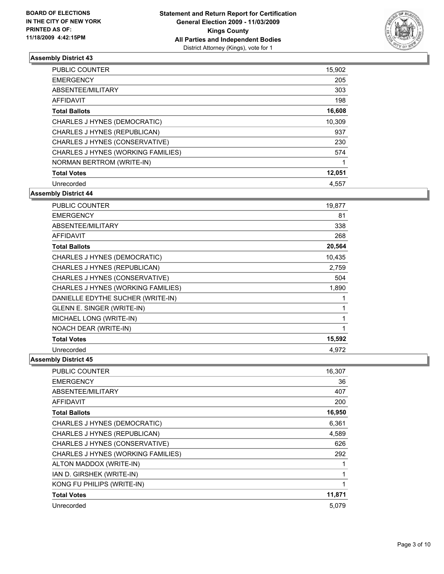

| <b>PUBLIC COUNTER</b>              | 15,902 |
|------------------------------------|--------|
| <b>EMERGENCY</b>                   | 205    |
| ABSENTEE/MILITARY                  | 303    |
| <b>AFFIDAVIT</b>                   | 198    |
| <b>Total Ballots</b>               | 16,608 |
| CHARLES J HYNES (DEMOCRATIC)       | 10.309 |
| CHARLES J HYNES (REPUBLICAN)       | 937    |
| CHARLES J HYNES (CONSERVATIVE)     | 230    |
| CHARLES J HYNES (WORKING FAMILIES) | 574    |
| NORMAN BERTROM (WRITE-IN)          |        |
| <b>Total Votes</b>                 | 12,051 |
| Unrecorded                         | 4.557  |

**Assembly District 44**

| <b>PUBLIC COUNTER</b>              | 19,877 |
|------------------------------------|--------|
| <b>EMERGENCY</b>                   | 81     |
| ABSENTEE/MILITARY                  | 338    |
| <b>AFFIDAVIT</b>                   | 268    |
| <b>Total Ballots</b>               | 20,564 |
| CHARLES J HYNES (DEMOCRATIC)       | 10,435 |
| CHARLES J HYNES (REPUBLICAN)       | 2,759  |
| CHARLES J HYNES (CONSERVATIVE)     | 504    |
| CHARLES J HYNES (WORKING FAMILIES) | 1,890  |
| DANIELLE EDYTHE SUCHER (WRITE-IN)  | 1      |
| GLENN E. SINGER (WRITE-IN)         | 1      |
| MICHAEL LONG (WRITE-IN)            | 1      |
| NOACH DEAR (WRITE-IN)              | 1      |
| <b>Total Votes</b>                 | 15,592 |
| Unrecorded                         | 4.972  |

| <b>PUBLIC COUNTER</b>              | 16,307 |
|------------------------------------|--------|
| <b>EMERGENCY</b>                   | 36     |
| ABSENTEE/MILITARY                  | 407    |
| <b>AFFIDAVIT</b>                   | 200    |
| <b>Total Ballots</b>               | 16,950 |
| CHARLES J HYNES (DEMOCRATIC)       | 6,361  |
| CHARLES J HYNES (REPUBLICAN)       | 4,589  |
| CHARLES J HYNES (CONSERVATIVE)     | 626    |
| CHARLES J HYNES (WORKING FAMILIES) | 292    |
| ALTON MADDOX (WRITE-IN)            |        |
| IAN D. GIRSHEK (WRITE-IN)          | 1      |
| KONG FU PHILIPS (WRITE-IN)         | 1      |
| <b>Total Votes</b>                 | 11,871 |
| Unrecorded                         | 5.079  |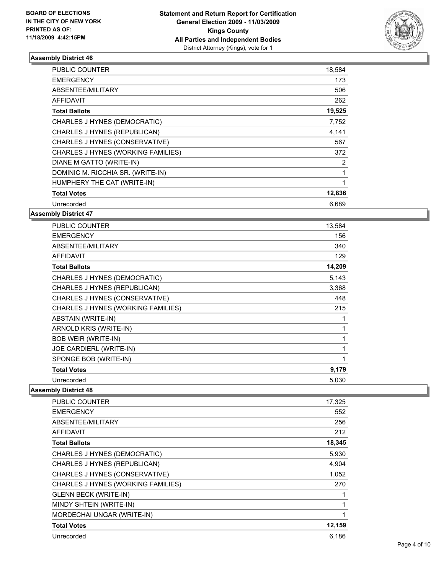

| <b>PUBLIC COUNTER</b>              | 18,584       |
|------------------------------------|--------------|
| <b>EMERGENCY</b>                   | 173          |
| ABSENTEE/MILITARY                  | 506          |
| <b>AFFIDAVIT</b>                   | 262          |
| <b>Total Ballots</b>               | 19,525       |
| CHARLES J HYNES (DEMOCRATIC)       | 7,752        |
| CHARLES J HYNES (REPUBLICAN)       | 4,141        |
| CHARLES J HYNES (CONSERVATIVE)     | 567          |
| CHARLES J HYNES (WORKING FAMILIES) | 372          |
| DIANE M GATTO (WRITE-IN)           | 2            |
| DOMINIC M. RICCHIA SR. (WRITE-IN)  | 1            |
| HUMPHERY THE CAT (WRITE-IN)        | $\mathbf{1}$ |
| <b>Total Votes</b>                 | 12,836       |
| Unrecorded                         | 6,689        |

**Assembly District 47**

| <b>PUBLIC COUNTER</b>              | 13,584 |
|------------------------------------|--------|
| <b>EMERGENCY</b>                   | 156    |
| ABSENTEE/MILITARY                  | 340    |
| <b>AFFIDAVIT</b>                   | 129    |
| <b>Total Ballots</b>               | 14,209 |
| CHARLES J HYNES (DEMOCRATIC)       | 5,143  |
| CHARLES J HYNES (REPUBLICAN)       | 3,368  |
| CHARLES J HYNES (CONSERVATIVE)     | 448    |
| CHARLES J HYNES (WORKING FAMILIES) | 215    |
| <b>ABSTAIN (WRITE-IN)</b>          | 1      |
| ARNOLD KRIS (WRITE-IN)             | 1      |
| <b>BOB WEIR (WRITE-IN)</b>         | 1      |
| JOE CARDIERL (WRITE-IN)            | 1      |
| SPONGE BOB (WRITE-IN)              | 1      |
| <b>Total Votes</b>                 | 9,179  |
| Unrecorded                         | 5,030  |

| PUBLIC COUNTER                     | 17,325 |
|------------------------------------|--------|
| <b>EMERGENCY</b>                   | 552    |
| ABSENTEE/MILITARY                  | 256    |
| <b>AFFIDAVIT</b>                   | 212    |
| <b>Total Ballots</b>               | 18,345 |
| CHARLES J HYNES (DEMOCRATIC)       | 5,930  |
| CHARLES J HYNES (REPUBLICAN)       | 4,904  |
| CHARLES J HYNES (CONSERVATIVE)     | 1,052  |
| CHARLES J HYNES (WORKING FAMILIES) | 270    |
| <b>GLENN BECK (WRITE-IN)</b>       | 1      |
| MINDY SHTEIN (WRITE-IN)            | 1      |
| MORDECHAI UNGAR (WRITE-IN)         | 1      |
| <b>Total Votes</b>                 | 12,159 |
| Unrecorded                         | 6,186  |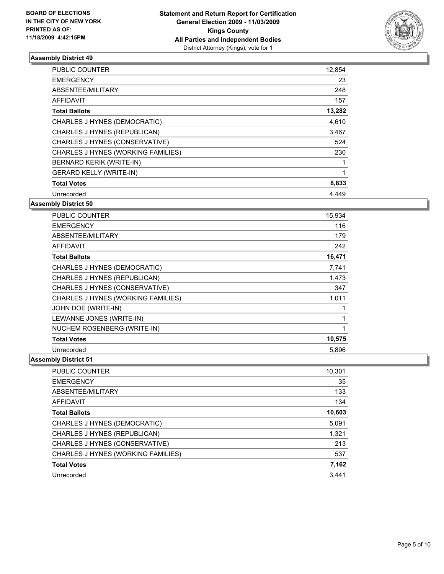

| <b>PUBLIC COUNTER</b>              | 12,854 |
|------------------------------------|--------|
| <b>EMERGENCY</b>                   | 23     |
| ABSENTEE/MILITARY                  | 248    |
| AFFIDAVIT                          | 157    |
| <b>Total Ballots</b>               | 13,282 |
| CHARLES J HYNES (DEMOCRATIC)       | 4,610  |
| CHARLES J HYNES (REPUBLICAN)       | 3,467  |
| CHARLES J HYNES (CONSERVATIVE)     | 524    |
| CHARLES J HYNES (WORKING FAMILIES) | 230    |
| BERNARD KERIK (WRITE-IN)           | 1      |
| <b>GERARD KELLY (WRITE-IN)</b>     |        |
| <b>Total Votes</b>                 | 8,833  |
| Unrecorded                         | 4,449  |

## **Assembly District 50**

| <b>PUBLIC COUNTER</b>              | 15,934 |
|------------------------------------|--------|
| <b>EMERGENCY</b>                   | 116    |
| ABSENTEE/MILITARY                  | 179    |
| <b>AFFIDAVIT</b>                   | 242    |
| <b>Total Ballots</b>               | 16,471 |
| CHARLES J HYNES (DEMOCRATIC)       | 7,741  |
| CHARLES J HYNES (REPUBLICAN)       | 1,473  |
| CHARLES J HYNES (CONSERVATIVE)     | 347    |
| CHARLES J HYNES (WORKING FAMILIES) | 1,011  |
| JOHN DOE (WRITE-IN)                |        |
| LEWANNE JONES (WRITE-IN)           | 1      |
| NUCHEM ROSENBERG (WRITE-IN)        | 1      |
| <b>Total Votes</b>                 | 10,575 |
| Unrecorded                         | 5,896  |

| <b>PUBLIC COUNTER</b>              | 10,301 |
|------------------------------------|--------|
| <b>EMERGENCY</b>                   | 35     |
| ABSENTEE/MILITARY                  | 133    |
| <b>AFFIDAVIT</b>                   | 134    |
| <b>Total Ballots</b>               | 10,603 |
| CHARLES J HYNES (DEMOCRATIC)       | 5,091  |
| CHARLES J HYNES (REPUBLICAN)       | 1,321  |
| CHARLES J HYNES (CONSERVATIVE)     | 213    |
| CHARLES J HYNES (WORKING FAMILIES) | 537    |
| <b>Total Votes</b>                 | 7,162  |
| Unrecorded                         | 3.441  |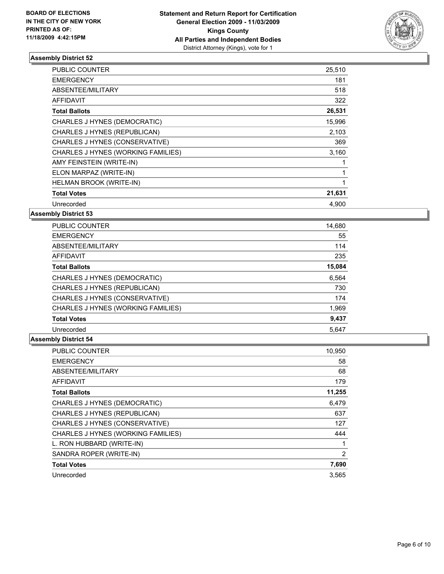

| <b>PUBLIC COUNTER</b>              | 25,510 |
|------------------------------------|--------|
| <b>EMERGENCY</b>                   | 181    |
| ABSENTEE/MILITARY                  | 518    |
| <b>AFFIDAVIT</b>                   | 322    |
| <b>Total Ballots</b>               | 26,531 |
| CHARLES J HYNES (DEMOCRATIC)       | 15,996 |
| CHARLES J HYNES (REPUBLICAN)       | 2,103  |
| CHARLES J HYNES (CONSERVATIVE)     | 369    |
| CHARLES J HYNES (WORKING FAMILIES) | 3,160  |
| AMY FEINSTEIN (WRITE-IN)           |        |
| ELON MARPAZ (WRITE-IN)             |        |
| HELMAN BROOK (WRITE-IN)            | 1      |
| <b>Total Votes</b>                 | 21,631 |
| Unrecorded                         | 4,900  |

**Assembly District 53**

| <b>PUBLIC COUNTER</b>              | 14,680 |
|------------------------------------|--------|
| <b>EMERGENCY</b>                   | 55     |
| ABSENTEE/MILITARY                  | 114    |
| AFFIDAVIT                          | 235    |
| <b>Total Ballots</b>               | 15,084 |
| CHARLES J HYNES (DEMOCRATIC)       | 6,564  |
| CHARLES J HYNES (REPUBLICAN)       | 730    |
| CHARLES J HYNES (CONSERVATIVE)     | 174    |
| CHARLES J HYNES (WORKING FAMILIES) | 1,969  |
| <b>Total Votes</b>                 | 9,437  |
| Unrecorded                         | 5.647  |

| <b>PUBLIC COUNTER</b>              | 10,950         |
|------------------------------------|----------------|
| <b>EMERGENCY</b>                   | 58             |
| ABSENTEE/MILITARY                  | 68             |
| <b>AFFIDAVIT</b>                   | 179            |
| <b>Total Ballots</b>               | 11,255         |
| CHARLES J HYNES (DEMOCRATIC)       | 6,479          |
| CHARLES J HYNES (REPUBLICAN)       | 637            |
| CHARLES J HYNES (CONSERVATIVE)     | 127            |
| CHARLES J HYNES (WORKING FAMILIES) | 444            |
| L. RON HUBBARD (WRITE-IN)          |                |
| SANDRA ROPER (WRITE-IN)            | $\overline{2}$ |
| <b>Total Votes</b>                 | 7,690          |
| Unrecorded                         | 3.565          |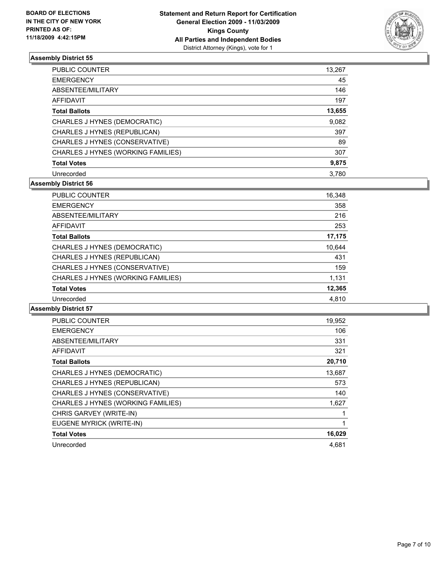

| <b>PUBLIC COUNTER</b>              | 13,267 |
|------------------------------------|--------|
| <b>EMERGENCY</b>                   | 45     |
| ABSENTEE/MILITARY                  | 146    |
| AFFIDAVIT                          | 197    |
| <b>Total Ballots</b>               | 13,655 |
| CHARLES J HYNES (DEMOCRATIC)       | 9,082  |
| CHARLES J HYNES (REPUBLICAN)       | 397    |
| CHARLES J HYNES (CONSERVATIVE)     | 89     |
| CHARLES J HYNES (WORKING FAMILIES) | 307    |
| <b>Total Votes</b>                 | 9,875  |
| Unrecorded                         | 3.780  |

## **Assembly District 56**

| <b>PUBLIC COUNTER</b>              | 16,348 |
|------------------------------------|--------|
| <b>EMERGENCY</b>                   | 358    |
| ABSENTEE/MILITARY                  | 216    |
| <b>AFFIDAVIT</b>                   | 253    |
| <b>Total Ballots</b>               | 17,175 |
| CHARLES J HYNES (DEMOCRATIC)       | 10,644 |
| CHARLES J HYNES (REPUBLICAN)       | 431    |
| CHARLES J HYNES (CONSERVATIVE)     | 159    |
| CHARLES J HYNES (WORKING FAMILIES) | 1,131  |
| <b>Total Votes</b>                 | 12,365 |
| Unrecorded                         | 4,810  |
|                                    |        |

| <b>PUBLIC COUNTER</b>              | 19,952 |
|------------------------------------|--------|
| <b>EMERGENCY</b>                   | 106    |
| ABSENTEE/MILITARY                  | 331    |
| <b>AFFIDAVIT</b>                   | 321    |
| <b>Total Ballots</b>               | 20,710 |
| CHARLES J HYNES (DEMOCRATIC)       | 13,687 |
| CHARLES J HYNES (REPUBLICAN)       | 573    |
| CHARLES J HYNES (CONSERVATIVE)     | 140    |
| CHARLES J HYNES (WORKING FAMILIES) | 1,627  |
| CHRIS GARVEY (WRITE-IN)            |        |
| EUGENE MYRICK (WRITE-IN)           | 1      |
| <b>Total Votes</b>                 | 16,029 |
| Unrecorded                         | 4.681  |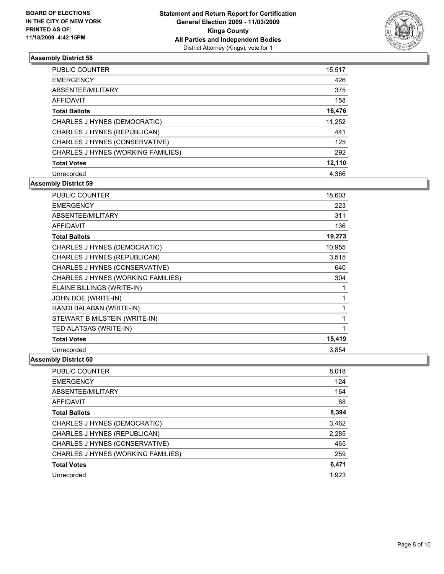

| <b>PUBLIC COUNTER</b>              | 15,517 |
|------------------------------------|--------|
| <b>EMERGENCY</b>                   | 426    |
| ABSENTEE/MILITARY                  | 375    |
| <b>AFFIDAVIT</b>                   | 158    |
| <b>Total Ballots</b>               | 16,476 |
| CHARLES J HYNES (DEMOCRATIC)       | 11,252 |
| CHARLES J HYNES (REPUBLICAN)       | 441    |
| CHARLES J HYNES (CONSERVATIVE)     | 125    |
| CHARLES J HYNES (WORKING FAMILIES) | 292    |
| <b>Total Votes</b>                 | 12,110 |
| Unrecorded                         | 4.366  |

## **Assembly District 59**

| PUBLIC COUNTER                     | 18,603 |
|------------------------------------|--------|
| <b>EMERGENCY</b>                   | 223    |
| ABSENTEE/MILITARY                  | 311    |
| <b>AFFIDAVIT</b>                   | 136    |
| <b>Total Ballots</b>               | 19,273 |
| CHARLES J HYNES (DEMOCRATIC)       | 10,955 |
| CHARLES J HYNES (REPUBLICAN)       | 3,515  |
| CHARLES J HYNES (CONSERVATIVE)     | 640    |
| CHARLES J HYNES (WORKING FAMILIES) | 304    |
| ELAINE BILLINGS (WRITE-IN)         | 1      |
| JOHN DOE (WRITE-IN)                | 1      |
| RANDI BALABAN (WRITE-IN)           | 1      |
| STEWART B MILSTEIN (WRITE-IN)      | 1      |
| TED ALATSAS (WRITE-IN)             | 1      |
| <b>Total Votes</b>                 | 15,419 |
| Unrecorded                         | 3.854  |

| <b>PUBLIC COUNTER</b>              | 8,018 |
|------------------------------------|-------|
| <b>EMERGENCY</b>                   | 124   |
| ABSENTEE/MILITARY                  | 164   |
| <b>AFFIDAVIT</b>                   | 88    |
| <b>Total Ballots</b>               | 8,394 |
| CHARLES J HYNES (DEMOCRATIC)       | 3,462 |
| CHARLES J HYNES (REPUBLICAN)       | 2,285 |
| CHARLES J HYNES (CONSERVATIVE)     | 465   |
| CHARLES J HYNES (WORKING FAMILIES) | 259   |
| <b>Total Votes</b>                 | 6,471 |
| Unrecorded                         | 1.923 |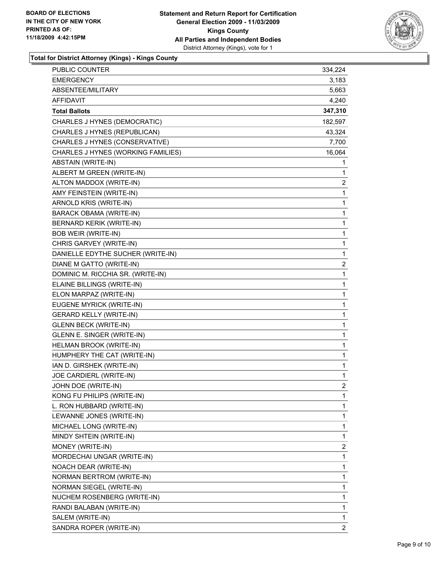

**Total for District Attorney (Kings) - Kings County**

| <b>PUBLIC COUNTER</b>              | 334,224        |
|------------------------------------|----------------|
| <b>EMERGENCY</b>                   | 3,183          |
| ABSENTEE/MILITARY                  | 5,663          |
| AFFIDAVIT                          | 4,240          |
| <b>Total Ballots</b>               | 347,310        |
| CHARLES J HYNES (DEMOCRATIC)       | 182,597        |
| CHARLES J HYNES (REPUBLICAN)       | 43,324         |
| CHARLES J HYNES (CONSERVATIVE)     | 7,700          |
| CHARLES J HYNES (WORKING FAMILIES) | 16,064         |
| ABSTAIN (WRITE-IN)                 | 1              |
| ALBERT M GREEN (WRITE-IN)          | 1              |
| ALTON MADDOX (WRITE-IN)            | 2              |
| AMY FEINSTEIN (WRITE-IN)           | 1              |
| ARNOLD KRIS (WRITE-IN)             | 1              |
| BARACK OBAMA (WRITE-IN)            | $\mathbf{1}$   |
| BERNARD KERIK (WRITE-IN)           | 1              |
| <b>BOB WEIR (WRITE-IN)</b>         | 1              |
| CHRIS GARVEY (WRITE-IN)            | 1              |
| DANIELLE EDYTHE SUCHER (WRITE-IN)  | $\mathbf 1$    |
| DIANE M GATTO (WRITE-IN)           | $\overline{2}$ |
| DOMINIC M. RICCHIA SR. (WRITE-IN)  | $\mathbf{1}$   |
| ELAINE BILLINGS (WRITE-IN)         | 1              |
| ELON MARPAZ (WRITE-IN)             | 1              |
| EUGENE MYRICK (WRITE-IN)           | 1              |
| <b>GERARD KELLY (WRITE-IN)</b>     | 1              |
| <b>GLENN BECK (WRITE-IN)</b>       | 1              |
| GLENN E. SINGER (WRITE-IN)         | $\mathbf{1}$   |
| HELMAN BROOK (WRITE-IN)            | 1              |
| HUMPHERY THE CAT (WRITE-IN)        | 1              |
| IAN D. GIRSHEK (WRITE-IN)          | 1              |
| JOE CARDIERL (WRITE-IN)            | 1              |
| JOHN DOE (WRITE-IN)                | $\overline{2}$ |
| KONG FU PHILIPS (WRITE-IN)         | 1              |
| L. RON HUBBARD (WRITE-IN)          | 1              |
| LEWANNE JONES (WRITE-IN)           | 1              |
| MICHAEL LONG (WRITE-IN)            | 1              |
| MINDY SHTEIN (WRITE-IN)            | 1              |
| MONEY (WRITE-IN)                   | 2              |
| MORDECHAI UNGAR (WRITE-IN)         | 1              |
| NOACH DEAR (WRITE-IN)              | 1              |
| NORMAN BERTROM (WRITE-IN)          | 1              |
| NORMAN SIEGEL (WRITE-IN)           | 1              |
| NUCHEM ROSENBERG (WRITE-IN)        | 1              |
| RANDI BALABAN (WRITE-IN)           | 1              |
| SALEM (WRITE-IN)                   | 1              |
| SANDRA ROPER (WRITE-IN)            | $\overline{2}$ |